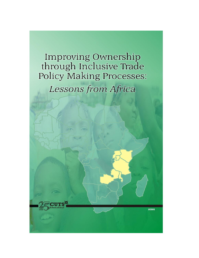Improving Ownership through Inclusive Trade<br>Policy Making Processes: Lessons from Africa

#0906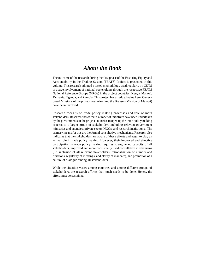### *About the Book*

The outcome of the research during the first phase of the Fostering Equity and Accountability in the Trading System (FEATS) Project is presented in this volume. This research adopted a tested methodology used regularly by CUTS of active involvement of national stakeholders through the respective FEATS National Reference Groups (NRGs) in the project countries: Kenya, Malawi, Tanzania, Uganda, and Zambia. This project has an added value here; Geneva based Missions of the project countries (and the Brussels Mission of Malawi) have been involved.

Research focus is on trade policy making processes and role of main stakeholders. Research shows that a number of initiatives have been undertaken by the governments in the project countries to open up the trade policy making process to a larger group of stakeholders including relevant government ministries and agencies, private sector, NGOs, and research institutions. The primary means for this are the formal consultative mechanisms. Research also indicates that the stakeholders are aware of these efforts and eager to play an active role in trade policy making. However, their improved and effective participation in trade policy making requires strengthened capacity of all stakeholders, improved and more consistently used consultative mechanisms (i.e. inclusion of all relevant stakeholders, rationalisation of number and functions, regularity of meetings, and clarity of mandate), and promotion of a culture of dialogue among all stakeholders.

While the situation varies among countries and among different groups of stakeholders, the research affirms that much needs to be done. Hence, the effort must be sustained.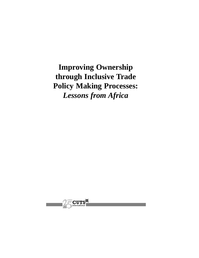**Improving Ownership through Inclusive Trade Policy Making Processes:** *Lessons from Africa*

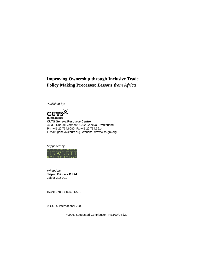### **Improving Ownership through Inclusive Trade Policy Making Processes:** *Lessons from Africa*

*Published by:*



**CUTS Geneva Resource Centre** 37-39, Rue de Vermont, 1202 Geneva, Switzerland Ph: +41.22.734.6080; Fx:+41.22.734.3914 E-mail: geneva@cuts.org, Website: www.cuts-grc.org

*Supported by:*



*Printed by:* **Jaipur Printers P. Ltd.** Jaipur 302 001

ISBN: 978-81-8257-122-8

© CUTS International 2009

#0906, Suggested Contribution: Rs.100/US\$20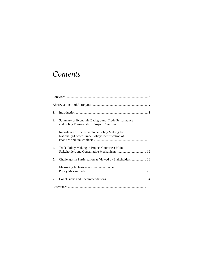## *Contents*

| 1. |                                                                                                     |
|----|-----------------------------------------------------------------------------------------------------|
| 2. | Summary of Economic Background, Trade Performance                                                   |
| 3. | Importance of Inclusive Trade Policy Making for<br>Nationally-Owned Trade Policy: Identification of |
| 4. | Trade Policy Making in Project Countries: Main                                                      |
| 5. | Challenges in Participation as Viewed by Stakeholders  26                                           |
| 6. | Measuring Inclusiveness: Inclusive Trade                                                            |
| 7. |                                                                                                     |
|    |                                                                                                     |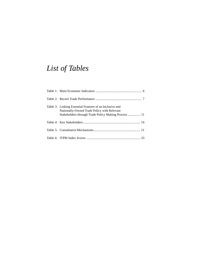# *List of Tables*

| Table 3: Linking Essential Features of an Inclusive and<br>Nationally-Owned Trade Policy with Relevant<br>Stakeholders through Trade Policy Making Process  11 |
|----------------------------------------------------------------------------------------------------------------------------------------------------------------|
|                                                                                                                                                                |
|                                                                                                                                                                |
|                                                                                                                                                                |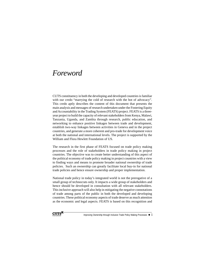### *Foreword*

CUTS constituency in both the developing and developed countries is familiar with our credo "marrying the cold of research with the hot of advocacy". This credo aptly describes the content of this document that presents the main analysis and messages of research undertaken under the Fostering Equity and Accountability in the Trading System (FEATS) project. FEATS is a threeyear project to build the capacity of relevant stakeholders from Kenya, Malawi, Tanzania, Uganda, and Zambia through research, public education, and networking to enhance positive linkages between trade and development, establish two-way linkages between activities in Geneva and in the project countries, and generate a more coherent and pro-trade for development voice at both the national and international levels. The project is supported by the William and Flora Hewlett Foundation of US.

The research in the first phase of FEATS focused on trade policy making processes and the role of stakeholders in trade policy making in project countries. The objective was to create better understanding of this aspect of the political economy of trade policy making in project countries with a view to finding ways and means to promote broader national ownership of trade policies. Such an ownership can greatly facilitate local buy-in for national trade policies and hence ensure ownership and proper implementation.

National trade policy in today's integrated world is not the prerogative of a small group of technocrats only. It impacts a wide group of stakeholders and hence should be developed in consultation with all relevant stakeholders. This inclusive approach will also help in mitigating the negative connotations of trade among parts of the public in both the developed and developing countries. These political economy aspects of trade deserve as much attention as the economic and legal aspects. FEATS is based on this recognition and

**CUTS** 

Improving Ownership through Inclusive Trade Policy Making Processes  $\blacklozenge$  i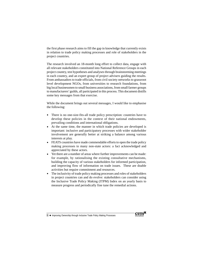the first phase research aims to fill the gap in knowledge that currently exists in relation to trade policy making processes and role of stakeholders in the project countries.

The research involved an 18-month long effort to collect data, engage with all relevant stakeholders constituted into National Reference Groups in each project country, test hypotheses and analyses through brainstorming meetings in each country, and an expert group of project advisers guiding the results. From ambassadors to trade officials, from civil society networks to grassroot level development NGOs, from universities to research foundations, from big local businessmen to small business associations, from small farmer groups to manufacturers' guilds, all participated in this process. This document distills some key messages from that exercise.

While the document brings out several messages, I would like to emphasise the following:

- There is no one-size-fits-all trade policy prescription: countries have to develop these policies in the context of their national endowments, prevailing conditions and international obligations.
- At the same time, the manner in which trade policies are developed is important: inclusive and participatory processes with wider stakeholder involvement are generally better at striking a balance among various interests at play.
- FEATS countries have made commendable efforts to open the trade policy making processes to many non-state actors: a fact acknowledged and appreciated by these actors.
- Yet there are a number of areas where further improvements can be made: for example, by rationalising the existing consultative mechanisms, building the capacity of various stakeholders for informed participation, and improving flow of information on trade issues. These are doable activities but require commitment and resources.
- The inclusivity of trade policy making processes and roles of stakeholders in project countries can and do evolve: stakeholders can consider using the Inclusive Trade Policy Making (ITPM) Index on an yearly basis to measure progress and periodically fine tune the remedial actions.



 $ii \triangleq$  Improving Ownership through Inclusive Trade Policy Making Processes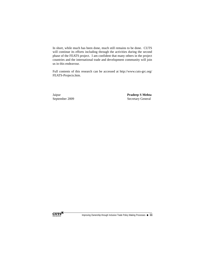In short, while much has been done, much still remains to be done. CUTS will continue its efforts including through the activities during the second phase of the FEATS project. I am confident that many others in the project countries and the international trade and development community will join us in this endeavour.

Full contents of this research can be accessed at http://www.cuts-grc.org/ FEATS-Projects.htm.

Jaipur **Pradeep S Mehta**

September 2009 Secretary General

**CUTS** 

Improving Ownership through Inclusive Trade Policy Making Processes  $\blacklozenge$  iii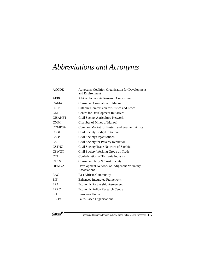## *Abbreviations and Acronyms*

| <b>ACODE</b>   | Advocates Coalition Organisation for Development<br>and Environment |
|----------------|---------------------------------------------------------------------|
| AERC           | African Economic Research Consortium                                |
| <b>CAMA</b>    | <b>Consumer Association of Malawi</b>                               |
| <b>CCJP</b>    | Catholic Commission for Justice and Peace                           |
| <b>CDI</b>     | Centre for Development Initiatives                                  |
| <b>CISANET</b> | Civil Society Agriculture Network                                   |
| <b>CMM</b>     | Chamber of Mines of Malawi                                          |
| <b>COMESA</b>  | Common Market for Eastern and Southern Africa                       |
| <b>CSBI</b>    | Civil Society Budget Initiative                                     |
| CSOs           | Civil Society Organisations                                         |
| <b>CSPR</b>    | Civil Society for Poverty Reduction                                 |
| <b>CSTNZ</b>   | Civil Society Trade Network of Zambia                               |
| <b>CSWGT</b>   | Civil Society Working Group on Trade                                |
| <b>CTI</b>     | Confederation of Tanzania Industry                                  |
| <b>CUTS</b>    | Consumer Unity & Trust Society                                      |
| <b>DENIVA</b>  | Development Network of Indigenous Voluntary<br>Associations         |
| EAC            | <b>East African Community</b>                                       |
| EIF            | <b>Enhanced Integrated Framework</b>                                |
| <b>EPA</b>     | Economic Partnership Agreement                                      |
| <b>EPRC</b>    | <b>Economic Policy Research Centre</b>                              |
| EU             | European Union                                                      |
| FBO's          | Faith-Based Organisations                                           |



Improving Ownership through Inclusive Trade Policy Making Processes  $\blacklozenge$  V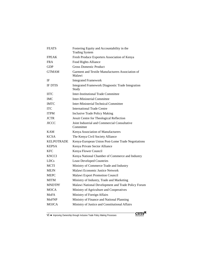| <b>FEATS</b>      | Fostering Equity and Accountability in the<br><b>Trading System</b> |
|-------------------|---------------------------------------------------------------------|
| <b>FPEAK</b>      | Fresh Produce Exporters Association of Kenya                        |
| <b>FRA</b>        | Food Rights Alliance                                                |
| <b>GDP</b>        | <b>Gross Domestic Product</b>                                       |
| <b>GTMAM</b>      | Garment and Textile Manufacturers Association of<br>Malawi          |
| IF                | <b>Integrated Framework</b>                                         |
| <b>IF DTIS</b>    | <b>Integrated Framework Diagnostic Trade Integration</b><br>Study   |
| <b>IITC</b>       | <b>Inter-Institutional Trade Committee</b>                          |
| <b>IMC</b>        | Inter-Ministerial Committee                                         |
| <b>IMTC</b>       | Inter-Ministerial Technical Committee                               |
| <b>ITC</b>        | <b>International Trade Centre</b>                                   |
| <b>ITPM</b>       | <b>Inclusive Trade Policy Making</b>                                |
| <b>JCTR</b>       | Jesuit Centre for Theological Reflection                            |
| JICCC             | Joint Industrial and Commercial Consultative<br>Committee           |
| <b>KAM</b>        | Kenya Association of Manufacturers                                  |
| <b>KCSA</b>       | The Kenya Civil Society Alliance                                    |
| <b>KELPOTRADE</b> | Kenya-European Union Post-Lome Trade Negotiations                   |
| <b>KEPSA</b>      | Kenya Private Sector Alliance                                       |
| <b>KFC</b>        | Kenya Flower Council                                                |
| <b>KNCCI</b>      | Kenya National Chamber of Commerce and Industry                     |
| LDCs              | <b>Least Developed Countries</b>                                    |
| <b>MCTI</b>       | Ministry of Commerce Trade and Industry                             |
| MEJN              | Malawi Economic Justice Network                                     |
| <b>MEPC</b>       | Malawi Export Promotion Council                                     |
| <b>MITM</b>       | Ministry of Industry, Trade and Marketing                           |
| <b>MNDTPF</b>     | Malawi National Development and Trade Policy Forum                  |
| <b>MOCA</b>       | Ministry of Agriculture and Cooperatives                            |
| <b>MoFA</b>       | Ministry of Foreign Affairs                                         |
| <b>MoFNP</b>      | Ministry of Finance and National Planning                           |
| <b>MOJCA</b>      | Ministry of Justice and Constitutional Affairs                      |
|                   |                                                                     |

 $\overline{vi}$  M Improving Ownership through Inclusive Trade Policy Making Processes

 $\text{CUTS}^{\mathbb{M}}$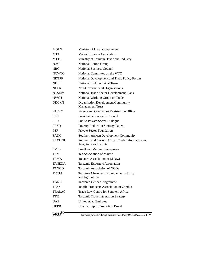| <b>MOLG</b>    | Ministry of Local Government                                                        |
|----------------|-------------------------------------------------------------------------------------|
| <b>MTA</b>     | Malawi Tourism Association                                                          |
| <b>MTTI</b>    | Ministry of Tourism, Trade and Industry                                             |
| <b>NAG</b>     | National Action Group                                                               |
| <b>NBC</b>     | <b>National Business Council</b>                                                    |
| <b>NCWTO</b>   | National Committee on the WTO                                                       |
| <b>NDTPF</b>   | National Development and Trade Policy Forum                                         |
| <b>NETT</b>    | National EPA Technical Team                                                         |
| <b>NGOs</b>    | Non-Governmental Organisations                                                      |
| <b>NTSDPs</b>  | National Trade Sector Development Plans                                             |
| <b>NWGT</b>    | National Working Group on Trade                                                     |
| <b>ODCMT</b>   | <b>Organisation Development Community</b><br><b>Management Trust</b>                |
| <b>PACRO</b>   | Patents and Companies Registration Office                                           |
| <b>PEC</b>     | President's Economic Council                                                        |
| <b>PPD</b>     | Public-Private Sector Dialogue                                                      |
| <b>PRSPs</b>   | <b>Poverty Reduction Strategy Papers</b>                                            |
| <b>PSF</b>     | <b>Private Sector Foundation</b>                                                    |
| <b>SADC</b>    | Southern African Development Community                                              |
| <b>SEATINI</b> | Southern and Eastern African Trade Information and<br><b>Negotiations Institute</b> |
| <b>SMEs</b>    | Small and Medium Enterprises                                                        |
| TAM            | Tea Association of Malawi                                                           |
| TAMA           | <b>Tobacco Association of Malawi</b>                                                |
| TANEXA         | Tanzania Exporters Association                                                      |
| <b>TANGO</b>   | Tanzania Association of NGOs                                                        |
| <b>TCCIA</b>   | Tanzania Chamber of Commerce, Industry<br>and Agriculture                           |
| <b>TGNP</b>    | Tanzania Gender Programme                                                           |
| <b>TPAZ</b>    | Textile Producers Association of Zambia                                             |
| TRALAC         | Trade Law Centre for Southern Africa                                                |
| <b>TTIS</b>    | Tanzania Trade Integration Strategy                                                 |
| UAE            | <b>United Arab Emirates</b>                                                         |
| <b>UEPB</b>    | <b>Uganda Export Promotion Board</b>                                                |
| Internationa   | Improving Ownership through Inclusive Trade Policy Making Processes ◆ Vii           |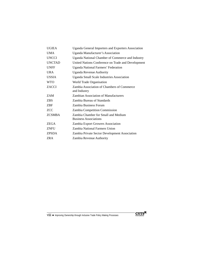| <b>UGIEA</b>  | Uganda General Importers and Exporters Association                  |
|---------------|---------------------------------------------------------------------|
| <b>UMA</b>    | Uganda Manufacturer's Association                                   |
| <b>UNCCI</b>  | Uganda National Chamber of Commerce and Industry                    |
| <b>UNCTAD</b> | United Nations Conference on Trade and Development                  |
| <b>UNFF</b>   | <b>Uganda National Farmers' Federation</b>                          |
| <b>URA</b>    | <b>Uganda Revenue Authority</b>                                     |
| <b>USSIA</b>  | <b>Uganda Small Scale Industries Association</b>                    |
| <b>WTO</b>    | World Trade Organisation                                            |
| <b>ZACCI</b>  | Zambia Association of Chambers of Commerce<br>and Industry          |
| ZAM           | <b>Zambian Association of Manufacturers</b>                         |
| <b>ZBS</b>    | Zambia Bureau of Standards                                          |
| ZBF           | Zambia Business Forum                                               |
| <b>ZCC</b>    | Zambia Competition Commission                                       |
| <b>ZCSMBA</b> | Zambia Chamber for Small and Medium<br><b>Business Associations</b> |
| ZEGA          | Zambia Export Growers Association                                   |
| <b>ZNFU</b>   | Zambia National Farmers Union                                       |
| <b>ZPSDA</b>  | Zambia Private Sector Development Association                       |
| <b>ZRA</b>    | Zambia Revenue Authority                                            |

viii ◆ Improving Ownership through Inclusive Trade Policy Making Processes

 $\textbf{CUTS}^{\mathbb{M}}$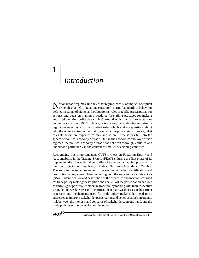# 1 *Introduction*

National trade regimes, like any other regime, consist of implicit or explicit principles (beliefs of facts and causation), norms (standards of behaviour defined in terms of rights and obligations), rules (specific prescriptions for action), and decision-making procedures (prevailing practices for making and implementing collective choice) around which actors' expectations converge (Krasner: 1983). Hence, a trade regime embodies not simply regulative rules but also constitutive rules which address questions about why the regime exists in the first place, what purpose it aims to serve, what roles its actors are expected to play and so on. These issues fall into the sphere of political economy of trade. Unlike the economics and law of trade regimes, the political economy of trade has not been thoroughly studied and understood particularly in the context of smaller developing countries.

Recognising this important gap, CUTS project on Fostering Equity and Accountability in the Trading System (FEATS), during the first phase of its implementation, has undertaken studies of trade policy making processes in the five project countries: Kenya, Malawi, Tanzania, Uganda and Zambia. The substantive issue coverage of the studies includes: identification and description of key stakeholders including both the state and non-state actors (NSAs); identification and description of the processes and mechanisms used for trade policy making; description and analysis of the participation and role of various groups of stakeholders in trade policy making with their respective strengths and weaknesses; and identification of main weaknesses in the current processes and mechanisms used for trade policy making that need to be addressed to improve stakeholder participation and hence establish an organic link between the interests and concerns of stakeholders, on one hand, and the trade policies of the countries, on the other.



Improving Ownership through Inclusive Trade Policy Making Processes  $\;\blacklozenge\; 1$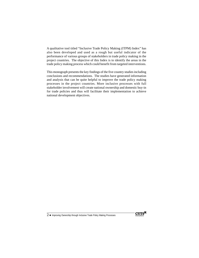A qualitative tool titled "Inclusive Trade Policy Making (ITPM) Index" has also been developed and used as a rough but useful indicator of the performance of various groups of stakeholders in trade policy making in the project countries. The objective of this Index is to identify the areas in the trade policy making process which could benefit from targeted interventions.

This monograph presents the key findings of the five country studies including conclusions and recommendations. The studies have generated information and analysis that can be quite helpful to improve the trade policy making processes in the project countries. More inclusive processes with full stakeholder involvement will create national ownership and domestic buy-in for trade policies and thus will facilitate their implementation to achieve national development objectives.

2 ◆ Improving Ownership through Inclusive Trade Policy Making Processes

**CUTS**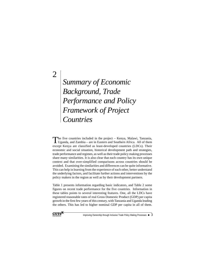# *Summary of Economic Background, Trade Performance and Policy Framework of Project Countries*

The five countries included in the project – Kenya, Malawi, Tanzania, Uganda, and Zambia – are in Eastern and Southern Africa. All of them except Kenya are classified as least-developed countries (LDCs). Their economic and social situation, historical development path and strategies, trade performance and regimes, as well as their trade policy making processes share many similarities. It is also clear that each country has its own unique context and that over-simplified comparisons across countries should be avoided. Examining the similarities and differences can be quite informative. This can help in learning from the experience of each other, better understand the underlying factors, and facilitate further actions and interventions by the policy makers in the region as well as by their development partners.

Table 1 presents information regarding basic indicators, and Table 2 some figures on recent trade performance for the five countries. Information in these tables points to several interesting features. One, all the LDCs have registered reasonable rates of real Gross Domestic Product (GDP) per capita growth in the first few years of this century, with Tanzania and Uganda leading the others. This has led to higher nominal GDP per capita in all of them.



2

Improving Ownership through Inclusive Trade Policy Making Processes  $\blacklozenge$  3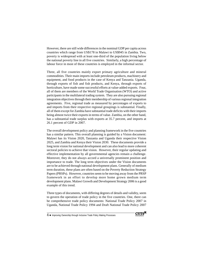However, there are still wide differences in the nominal GDP per capita across countries which range from US\$178 in Malawi to US\$945 in Zambia. Two, poverty is widespread with at least one-third of the population living below the national poverty line in all five countries. Similarly, a high percentage of labour force in most of these countries is employed in the informal sector.

Three, all five countries mainly export primary agriculture and mineral commodities. Their main imports include petroleum products, machinery and equipment, and food products in the case of Kenya and Tanzania. Uganda, through exports of fish and fish products, and Kenya, through exports of horticulture, have made some successful efforts at value-added exports. Four, all of them are members of the World Trade Organisation (WTO) and active participants in the multilateral trading system. They are also pursuing regional integration objectives through their membership of various regional integration agreements. Five, regional trade as measured by percentages of exports to and imports from their respective regional groupings is substantial. Finally, all of them except for Zambia have substantial trade deficits with their imports being almost twice their exports in terms of value. Zambia, on the other hand, has a substantial trade surplus with exports at 35.7 percent, and imports at 26.1 percent of GDP in 2007.

The overall development policy and planning framework in the five countries has a similar pattern. This overall planning is guided by a Vision document: Malawi has its Vision 2020, Tanzania and Uganda their respective Vision 2025, and Zambia and Kenya their Vision 2030. These documents provide a long term vision for national development and can also lead to more coherent sectoral policies to achieve that vision. However, their regular updating and effective implementation by all governmental agencies remain a challenge. Moreover, they do not always accord a universally prominent position and importance to trade. The long term objectives under the Vision documents are to be achieved through national development plans. Generally of medium term duration, these plans are often based on the Poverty Reduction Strategy Papers (PRSPs). However, countries seem to be moving away from the PRSP framework in an effort to develop more home grown medium term development plans. Malawi Growth and Development Strategy 2006 is a good example of this trend.

Three types of documents, with differing degrees of details and validity, seem to govern the operation of trade policy in the five countries. One, there can be comprehensive trade policy documents: National Trade Policy 2007 in Uganda, National Trade Policy 1994 and Draft National Trade Policy 2007



<sup>4 ◆</sup> Improving Ownership through Inclusive Trade Policy Making Processes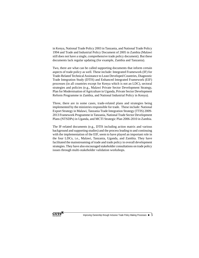in Kenya, National Trade Policy 2003 in Tanzania, and National Trade Policy 1994 and Trade and Industrial Policy Document of 2005 in Zambia (Malawi still does not have a single, comprehensive trade policy document). But these documents lack regular updating (for example, Zambia and Tanzania).

Two, there are what can be called supporting documents that inform certain aspects of trade policy as well. These include: Integrated Framework (IF) for Trade-Related Technical Assistance to Least Developed Countries, Diagnostic Trade Integration Study (DTIS) and Enhanced Integrated Framework (EIF) processes (in all countries except for Kenya which is not an LDC), sectoral strategies and policies (e.g., Malawi Private Sector Development Strategy, Plan for Modernisation of Agriculture in Uganda, Private Sector Development Reform Programme in Zambia, and National Industrial Policy in Kenya).

Three, there are in some cases, trade-related plans and strategies being implemented by the ministries responsible for trade. These include: National Export Strategy in Malawi, Tanzania Trade Integration Strategy (TTIS) 2009- 2013 Framework Programme in Tanzania, National Trade Sector Development Plans (NTSDPs) in Uganda, and MCTI Strategic Plan 2006-2010 in Zambia.

The IF-related documents (e.g., DTIS including action matrix and various background and supporting studies) and the process leading to and continuing with the implementation of the EIF, seem to have played an important role in the four LDCs, i.e., Malawi, Tanzania, Uganda, and Zambia. They have facilitated the mainstreaming of trade and trade policy in overall development strategies. They have also encouraged stakeholder consultations on trade policy issues through multi-stakeholder validation workshops.

CUTS<sup>E</sup>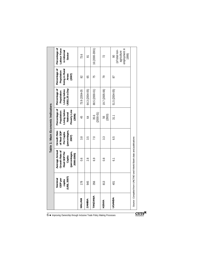|                                   | $(US\$ <sub>2007</sub> )<br>Nominal<br>GDP per<br>capita                                  | 178<br>MALAWI | 945<br><b>ZAMBIA</b> | 356<br><b>TANZANIA</b> | 813<br><b>KENYA</b> | 401<br>JGANDA                                                | Source: Compiled from UNCTAD and World Bank data and publications |
|-----------------------------------|-------------------------------------------------------------------------------------------|---------------|----------------------|------------------------|---------------------|--------------------------------------------------------------|-------------------------------------------------------------------|
|                                   | Average Annual<br>Growth Rate of<br>Real GDP Per<br>(percentages,<br>2000-2005)<br>Capita | $\sim 0$      | 2.8                  | 6.9                    | $\frac{8}{1}$       | $\overline{61}$                                              |                                                                   |
| Table 1: Main Economic Indicators | <b>Growth Rate</b><br>Per Capita<br>(percentages,<br>2007)<br>of Real GDP                 | 3.8           | 3.5                  | 7.0                    | 3.3                 | 6.5                                                          |                                                                   |
|                                   | Percentage of<br>Poverty Line<br>Living below<br>National<br>Population<br>(2006)         | 45            | $\overline{5}$       | $(2000 - 01)$<br>35.6  | (2003)<br>56        | 31.1                                                         |                                                                   |
|                                   | Percentage of<br>Population<br>Living below<br>US\$1.25 a Day                             | 73.9 (2004-05 | 64.3 (2004-05)       | 88.5 (2000-01)         | 19.7 (2005-06)      | 51.5 (2004-05)                                               |                                                                   |
|                                   | Percentage of<br>living in Rural<br>Population<br>Areas<br>(2007)                         | 82            | 65                   | 75                     | 26                  | 67                                                           |                                                                   |
|                                   | Percentage of<br>-abour Force<br>in Informal<br>Sector                                    | 73.6          | ౚ                    | 16 (2000-2001)         | 72                  | employment in<br>(of total non-<br>agriculture<br>1999)<br>8 |                                                                   |

 $\overline{\mathbf{C}\mathbf{UT}\mathbf{S}^{\mathbf{N}}}$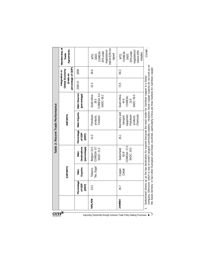|                                   | Membership of<br>Agreements<br>Trade                                |                                      | Interim EPA not<br>negotiations/<br>EPA under<br>COMESA<br>signed<br><b>SADC</b><br><b>OLM</b> | negotiations/<br>Interim EPA<br>EPA under<br>COMESA<br>initialled<br><b>SADC</b><br><b>NTO</b> | Contd                                                                                                                                                                                                                                                                                                                                  |
|-----------------------------------|---------------------------------------------------------------------|--------------------------------------|------------------------------------------------------------------------------------------------|------------------------------------------------------------------------------------------------|----------------------------------------------------------------------------------------------------------------------------------------------------------------------------------------------------------------------------------------------------------------------------------------------------------------------------------------|
|                                   |                                                                     | 2008                                 | 36.6                                                                                           | 80.2                                                                                           |                                                                                                                                                                                                                                                                                                                                        |
|                                   | percentage of GDP)<br>Global Economy<br>Integration in<br>(trade as | 2005-07                              | 31.5                                                                                           | 73.5                                                                                           |                                                                                                                                                                                                                                                                                                                                        |
|                                   |                                                                     | <b>Main Sources</b><br>(percentage)  | COMESA: 8.4<br>South Africa<br><b>SADC: 58.2</b><br>26.5                                       | South Africa<br><b>SADC: 59.5</b><br>COMESA:<br>44.6<br>13.6                                   |                                                                                                                                                                                                                                                                                                                                        |
| Table 2: Recent Trade Performance | <b>IMPORTS</b>                                                      | Main Imports                         | Petroleum<br>products,<br>Fertilizer                                                           | Machinery and<br>equipment,<br>Chemicals<br>Petroleum<br>products,<br>transport                |                                                                                                                                                                                                                                                                                                                                        |
|                                   |                                                                     | Percentage<br>of GDP<br>(2007)       | 41.0                                                                                           | 26.1                                                                                           |                                                                                                                                                                                                                                                                                                                                        |
|                                   |                                                                     | Destinations<br>(percentage)<br>Main | COMESA: 9.7<br>Belgium 13.0<br><b>SADC: 21.2</b>                                               | COMESA: 17.0<br><b>SADC: 19.0</b><br>Switzerland<br>50.91                                      | Glencore, which is one of world's largest commodity traders. However, these copper exports do not end up on<br>territory: in fact other European and Asian countries, particularly China are final markets for Zambian copper.<br>nd shows up as the top destination for exports because the main trader for Zambian copper is a Swiss |
|                                   | <b>EXPORTS</b>                                                      | <b>Exports</b><br>Main               | Tea, Sugar<br>Tobacco,                                                                         | Copper,<br>Cobalt                                                                              |                                                                                                                                                                                                                                                                                                                                        |
|                                   |                                                                     | ercentage<br>of GDP<br>(2007)<br>௨   | 23.0                                                                                           | 35.7                                                                                           |                                                                                                                                                                                                                                                                                                                                        |
|                                   |                                                                     |                                      | MALAW                                                                                          | <b>ZAMBIA</b>                                                                                  | Switzerlan<br>the Swiss<br>company,                                                                                                                                                                                                                                                                                                    |
| nternational                      | $\tt CUTS^{\boxtimes}$                                              |                                      | Improving Ownership through Inclusive Trade Policy Making Processes                            |                                                                                                | 7                                                                                                                                                                                                                                                                                                                                      |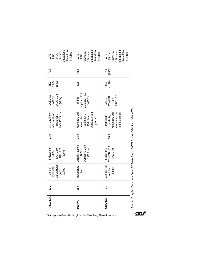|               | 12.2           | Manufactured<br>Products,<br>Mineral | Switzerland<br>EAC: 12.0<br>20.5                    | 28.0 | Oil, Machinery<br>and Transport<br>Equipment,                                            | <b>SADC: 11.5</b><br><b>UAE 13.2</b><br>EAC: 1.9  | 48.2<br>(1995-<br>1999) | 70.4           | SADC<br><b>VIO</b><br>EAC                                                               |
|---------------|----------------|--------------------------------------|-----------------------------------------------------|------|------------------------------------------------------------------------------------------|---------------------------------------------------|-------------------------|----------------|-----------------------------------------------------------------------------------------|
|               |                | goods,<br>Coffee                     | SADC: 17.2<br>(2007)                                |      | Food Products                                                                            | (2007)                                            |                         |                | negotiations<br>interim EPA<br>EPA under<br>initialled                                  |
| <b>KKNA</b>   | 15.0           | Horticulture,<br>Tea                 | COMESA: 28.9<br>United Kingdom<br>EAC: 21.4<br>16.9 | 23.9 | Machinery and<br>products, Food<br>transportation<br>equipment,<br>Petroleum<br>products | Kingdom 15.4<br>COMESA: 3.2<br>EAC: 1.4<br>United | 62.5                    | 58.2           | negotiations/<br>Interim EPA<br>EPA under<br>COMESA<br>initialled<br>EAC<br><b>NLO</b>  |
| <b>IGANDA</b> | $\overline{9}$ | Coffee, Fish<br>and Fish<br>Products | COMESA: 41.9<br>Sudan 14.3<br>EAC: 21.9             | 20.9 | telecommunica-<br>Machinery and<br>tion equipment<br>Petroleum<br>products,              | EAC: 12.6<br>COMESA:<br><b>UAE 11.4</b><br>13.2   | Mid 90's<br>38.3        | (2007)<br>47.1 | negotiations/<br>nterim EPA<br>EPA under<br>COMESA<br>initialled<br>EAC-<br><b>VIIO</b> |

 $\mathbf{CUTS}^{\mathbf{N}}$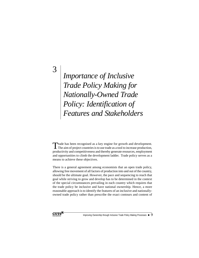3

*Importance of Inclusive Trade Policy Making for Nationally-Owned Trade Policy: Identification of Features and Stakeholders*

Trade has been recognised as a key engine for growth and development.  $\blacksquare$  The aim of project countries is to use trade as a tool to increase production, productivity and competitiveness and thereby generate resources, employment and opportunities to climb the development ladder. Trade policy serves as a means to achieve these objectives.

There is a general agreement among economists that an open trade policy, allowing free movement of all factors of production into and out of the country, should be the ultimate goal. However, the pace and sequencing to reach that goal while striving to grow and develop has to be determined in the context of the special circumstances prevailing in each country which requires that the trade policy be inclusive and have national ownership. Hence, a more reasonable approach is to identify the features of an inclusive and nationallyowned trade policy rather than prescribe the exact contours and content of



Improving Ownership through Inclusive Trade Policy Making Processes  $\blacklozenge$  9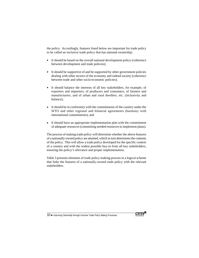the policy. Accordingly, features listed below are important for trade policy to be called an inclusive trade policy that has national ownership:

- It should be based on the overall national development policy (coherence between development and trade policies);
- It should be supportive of and be supported by other government policies dealing with other sectors of the economy and indeed society (coherence between trade and other socio-economic policies);
- It should balance the interests of all key stakeholders, for example, of exporters and importers, of producers and consumers, of farmers and manufacturers, and of urban and rural dwellers, etc. (inclusivity and balance);
- It should be in conformity with the commitments of the country under the WTO and other regional and bilateral agreements (harmony with international commitments); and
- It should have an appropriate implementation plan with the commitment of adequate resources (committing needed resources to implement plans).

The process of making trade policy will determine whether the above features of a nationally-owned policy are attained, which in turn determines the contents of the policy. This will allow a trade policy developed for the specific context of a country and with the widest possible buy-in from all key stakeholders, ensuring the policy's relevance and proper implementation.

Table 3 presents elements of trade policy making process in a logical scheme that links the features of a nationally-owned trade policy with the relevant stakeholders.

10 ◆ Improving Ownership through Inclusive Trade Policy Making Processes

**CUTS**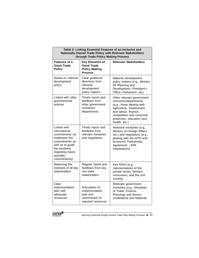|                                                                                                                                                                         | through Trade Policy Making Process                                                   | Table 3: Linking Essential Features of an Inclusive and<br>Nationally-Owned Trade Policy with Relevant Stakeholders                                                                                           |
|-------------------------------------------------------------------------------------------------------------------------------------------------------------------------|---------------------------------------------------------------------------------------|---------------------------------------------------------------------------------------------------------------------------------------------------------------------------------------------------------------|
| Features of a<br><b>Good Trade</b><br><b>Policy</b>                                                                                                                     | <b>Key Elements of</b><br><b>Good Trade</b><br><b>Policy Making</b><br><b>Process</b> | <b>Relevant Stakeholders</b>                                                                                                                                                                                  |
| Based on national<br>development<br>policy                                                                                                                              | Clear guidance/<br>directions from<br>national<br>development<br>policy makers        | National development<br>policy makers (e.g., Ministry<br>for Planning and<br>Development, President's<br>Office, Parliament, etc)                                                                             |
| Linked with other<br>governmental<br>policies                                                                                                                           | Timely inputs and<br>feedback from<br>other government<br>ministries/<br>departments  | Other relevant government<br>ministries/departments<br>(e.g., those dealing with<br>agriculture, employment<br>and labour, finance,<br>competition and consumer<br>protection, education and<br>health, etc.) |
| Linked with<br>international<br>commitments (to<br>implement the<br>commitments as<br>well as to guide<br>the positions<br>regarding future<br>possible<br>commitments) | Timely inputs and<br>feedback from<br>relevant ministries<br>and negotiators          | Relevant ministries (e.g.,<br>Ministry of Foreign Affairs,<br>etc.) and negotiators (e.g.,<br>dealing with the WTO and<br>Economic Partnership<br>Agreement - EPA<br>negotiations)                            |
| Balancing the<br>interests of all key<br>stakeholders                                                                                                                   | Regular inputs and<br>feedback from key<br>non-state<br>stakeholders                  | Key NSAs (e.g.,<br>representatives of the<br>private sector, farmers,<br>consumers, and the civil<br>society)                                                                                                 |
| Clear<br>implementation<br>plan with<br>adequate<br>resources                                                                                                           | Articulation of<br>implementation<br>plan and<br>commitment of<br>required resources  | Relevant government<br>ministries (e.g., Ministries<br>of Trade, Finance,<br>Planning) and donors<br>(multilateral and bilateral)                                                                             |



Improving Ownership through Inclusive Trade Policy Making Processes  $\blacklozenge$  11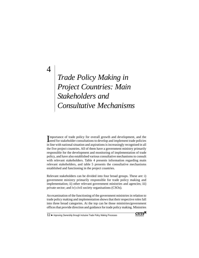4

# *Trade Policy Making in Project Countries: Main Stakeholders and Consultative Mechanisms*

Importance of trade policy for overall growth and development, and the need for stakeholder consultations to develop and implement trade policies mportance of trade policy for overall growth and development, and the in line with national situation and aspirations is increasingly recognised in all the five project countries. All of them have a government ministry primarily responsible for the development and monitoring of implementation of trade policy, and have also established various consultative mechanisms to consult with relevant stakeholders. Table 4 presents information regarding main relevant stakeholders, and table 5 presents the consultative mechanisms established and functioning in the project countries.

Relevant stakeholders can be divided into four broad groups. These are: i) government ministry primarily responsible for trade policy making and implementation; ii) other relevant government ministries and agencies; iii) private sector; and iv) civil society organisations (CSOs).

An examination of the functioning of the government ministries in relation to trade policy making and implementation shows that their respective roles fall into three broad categories. At the top can be those ministries/government offices that provide direction and guidance for trade policy making. Ministries

12 ◆ Improving Ownership through Inclusive Trade Policy Making Processes

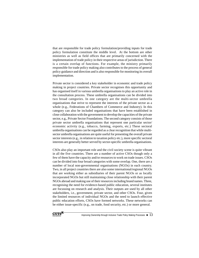that are responsible for trade policy formulation/providing inputs for trade policy formulation constitute the middle level. At the bottom are other ministries as well as field offices that are primarily concerned with the implementation of trade policy in their respective areas of jurisdiction. There is a certain overlap of functions. For example, the ministry primarily responsible for trade policy making also contributes to the process of general policy guidance and direction and is also responsible for monitoring its overall implementation.

Private sector is considered a key stakeholder in economic and trade policy making in project countries. Private sector recognises this opportunity and has organised itself in various umbrella organisations to play an active role in the consultation process. These umbrella organisations can be divided into two broad categories. In one category are the multi-sector umbrella organisations that strive to represent the interests of the private sector as a whole (e.g., Federations of Chambers of Commerce and Industry). In this category can also be included organisations that have been established in close collaboration with the government to develop the capacities of the private sector, e.g., Private Sector Foundations. The second category consists of those private sector umbrella organisations that represent one particular sector/ economic activity (e.g., tobacco, farming, exports, etc.) These sectoral umbrella organisations can be regarded as a clear recognition that while multisector umbrella organisations are quite useful for presenting the overall private sector interests (e.g., in relation to taxation policy etc.), more specific sectoral interests are generally better served by sector-specific umbrella organisations.

CSOs also play an important role and the civil society scene is quite vibrant in all the five countries. There are a number of active CSOs though only a few of them have the capacity and/or resources to work on trade issues. CSOs can be divided into four broad categories with some overlap. One, there are a number of local non-governmental organisations (NGOs) in each country. Two, in all project countries there are also some international/regional NGOs that are working either as subsidiaries of their parent NGOs or as locally incorporated NGOs but still maintaining close relationship with their parent NGOs abroad and making use of their resources including brand names. Three, recognising the need for evidence-based public education, several institutes are focussing on research and analysis. Their outputs are used by all other stakeholders, i.e., government, private sector, and other CSOs. Four, given the limited resources of individual NGOs and the need to launch effective public education efforts, CSOs have formed networks. These networks can be either issue-specific (e.g., on trade, food security, etc.) or more general.

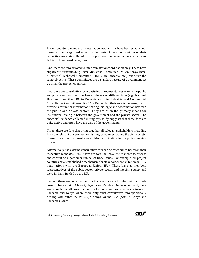In each country, a number of consultative mechanisms have been established: these can be categorised either on the basis of their composition or their respective mandates. Based on composition, the consultative mechanisms fall into three broad categories.

One, there are fora devoted to inter-ministerial coordination only. These have slightly different titles (e.g., Inter-Ministerial Committee- IMC in Kenya, Inter-Ministerial Technical Committee – IMTC in Tanzania, etc.) but serve the same objective. These committees are a standard feature of government set up in all the project countries.

Two, there are consultative fora consisting of representatives of only the public and private sectors. Such mechanisms have very different titles (e.g., National Business Council – NBC in Tanzania and Joint Industrial and Commercial Consultative Committee – JICCC in Kenya) but their role is the same, i.e. to provide a forum for information sharing, dialogue and coordination between the public and private sectors. They are often the primary means for institutional dialogue between the government and the private sector. The anecdotal evidence collected during this study suggests that these fora are quite active and often have the ears of the governments.

Three, there are fora that bring together all relevant stakeholders including from the relevant government ministries, private sector, and the civil society. These fora allow for broad stakeholder participation in the policy making process.

Alternatively, the existing consultative fora can be categorised based on their respective mandates. First, there are fora that have the mandate to discuss and consult on a particular sub-set of trade issues. For example, all project countries have established a mechanism for stakeholder consultation on EPA negotiations with the European Union (EU). These have as members representatives of the public sector, private sector, and the civil society and were initially funded by the EU.

Second, there are consultative fora that are mandated to deal with all trade issues. These exist in Malawi, Uganda and Zambia. On the other hand, there are no such overall consultative fora for consultations on all trade issues in Tanzania and Kenya where there only exist consultative fora specifically dealing with either the WTO (in Kenya) or the EPA (both in Kenya and Tanzania) issues.

**CUTS** 

14 • Improving Ownership through Inclusive Trade Policy Making Processes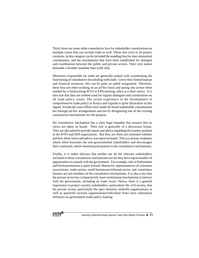Third, there are some other consultative fora for stakeholder consultations on multiple issues that can include trade as well. These also exist in all project countries. In this category can be included the standing fora for inter-ministerial coordination, and the mechanisms that have been established for dialogue and coordination between the public and private sectors. Their very nature demands a broader mandate than trade only.

Ministries responsible for trade are generally tasked with coordinating the functioning of consultative fora dealing with trade. Given their limited human and financial resources, this can be quite an uphill assignment. Therefore, these fora are often working on an *ad hoc* basis and spring into action when needed for a forthcoming WTO or EPA meeting, often at a short notice. It is also true that they are seldom used for regular dialogues and coordination on all trade policy issues. The recent experience of the development of comprehensive trade policy in Kenya and Uganda is quite illustrative in this regard. In both the cases efforts were made for broad stakeholder consultations but through *ad hoc* arrangements and not by designating one of the existing consultative mechanisms for the purpose.

No consultative mechanism has a clear legal mandate that ensures that its views are taken on board. Their role is generally of a discussion forum. They are also asked to provide inputs and advice regarding the country position in the WTO and EPA negotiations. But they are often not informed whether and how these views and advice was taken on board. This is a serious weakness which often frustrates the non-governmental stakeholders and discourages their continued, whole-hearted participation in the consultative mechanisms.

Finally, it is rather obvious that neither are all the relevant stakeholders included in these consultative mechanisms nor do they have equal number of opportunities to consult with the government. For example, role of Parliaments and Parliamentarians is quite limited. Moreover, representatives of consumer associations, trade unions, small businesses/informal sector, and sometimes farmers are not members of the consultative mechanisms. It is also a fact that the private sector has comparatively more institutional mechanisms to interact with the government, including on trade issues. Hence, there is a general impression in project country stakeholders, particularly the civil society, that the private sector, particularly the apex business umbrella organisations as well as powerful sectoral organisations/individual firms have substantial influence on government trade policy making.

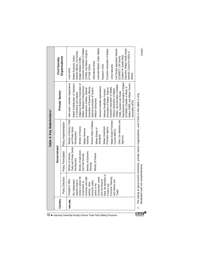|                                                                                             | Country |                                                                                                                                                                                                                                                                                             | Government                                                                                                                                                                  |                                                                                                                                                                                                                                                                                                                   | <b>Private Sector</b>                                                                                                                                                                                                                                                                                                                                                                                                                                                                                                                                                                                                                                                                    | Civil Society                                                                                                                                                                                                                                                                                                                                                                                                                                                                                    |
|---------------------------------------------------------------------------------------------|---------|---------------------------------------------------------------------------------------------------------------------------------------------------------------------------------------------------------------------------------------------------------------------------------------------|-----------------------------------------------------------------------------------------------------------------------------------------------------------------------------|-------------------------------------------------------------------------------------------------------------------------------------------------------------------------------------------------------------------------------------------------------------------------------------------------------------------|------------------------------------------------------------------------------------------------------------------------------------------------------------------------------------------------------------------------------------------------------------------------------------------------------------------------------------------------------------------------------------------------------------------------------------------------------------------------------------------------------------------------------------------------------------------------------------------------------------------------------------------------------------------------------------------|--------------------------------------------------------------------------------------------------------------------------------------------------------------------------------------------------------------------------------------------------------------------------------------------------------------------------------------------------------------------------------------------------------------------------------------------------------------------------------------------------|
|                                                                                             |         | Policy Direction                                                                                                                                                                                                                                                                            | Policy Formulation                                                                                                                                                          | Policy Implementation                                                                                                                                                                                                                                                                                             |                                                                                                                                                                                                                                                                                                                                                                                                                                                                                                                                                                                                                                                                                          | Organisations                                                                                                                                                                                                                                                                                                                                                                                                                                                                                    |
| $16 \blacktriangleleft$ Improving Ownership through Inclusive Trade Policy Making Processes | MALAWI  | (No independent<br>statutory body to<br>review or advise the<br>covernment on<br>Government on<br>economic and trade<br>policies. Most<br>advice to the<br>advice to the<br>from the Reserve<br>Bank, the Ministries of<br>Finance and<br>and Industry and<br>and Ind<br>President's Office | Trade and Private Sector<br>Ministry of Agriculture<br>Ministry of Economic<br>Ministry of Industry,<br>Ministry of Finance<br>and Food Security<br>Development<br>Planning | Ministry of Industry, Trade<br>Malawi Export Promotion<br>Other Line Ministries and<br>Reserve Bank of Malawi,<br>Ministry of Finance<br>and Private Sector<br>Malawi Investment<br>Promotion Agency<br>Malawi Bureau of<br>Malawi Revenue<br>Council (MEPC)<br>Development<br>Standards<br>Agencies<br>Authority | Manufacturers Association of Malawi<br>Multi-sector Umbrella Organisations<br>Indigenous Business Association of<br>Malawi (CMM), and Malawi Tourism<br>Malawi Confederation of Chambers<br>(TAMA), Tea Association of Malawi<br>Malawi, Malawian Entrepreneurs<br>Sectoral Umbrella Organisations<br>Association of Business Women,<br>(GTMAM), Chamber of Mines of<br>Exporters Association of Malawi,<br>Association of Malawi, Tobacco<br>Development Institute, National<br>National Association of Small &<br>Tobacco Association of Malawi<br>National Smallholder Farmers'<br>(TAM), Garment and Textile<br>of Commerce and Industry,<br>Medium Enterprises<br>Association (MTA) | ActionAid Malawi, Oxfam Malawi<br>Consumer Association of Malawi<br>Civil Society Agriculture Network<br>Education, Malawi Health Equity<br>Economic Association of Malawi<br>(CAMA), and Malawi Congress<br>Network (MEJN), Civil Society<br>Network, Council for NGOs in<br>Coalition for Quality Basic<br>Malawi Economic Justice<br>(CISANET), Civil Society<br>Budget Initiative (CSBI)<br>International NGOs<br>of Trade Unions.<br>Research CSOs<br>CSOs Networks<br>Local NGOS<br>Malawi |
| <b>Internation</b>                                                                          | $\sim$  | and not comprehensive.<br>The listing<br>lustrative                                                                                                                                                                                                                                         |                                                                                                                                                                             | of government ministries, private sector organisations, and CSOs in this table is only                                                                                                                                                                                                                            |                                                                                                                                                                                                                                                                                                                                                                                                                                                                                                                                                                                                                                                                                          | Contd                                                                                                                                                                                                                                                                                                                                                                                                                                                                                            |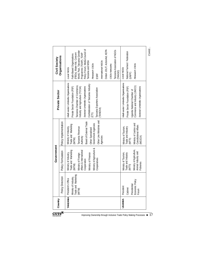|                 |                                                                              | Government                                                                                                                                                                                  |                                                                                                                                                                                                        |                                                                                                                                                                                                                                                                                      | Civil Society                                                                                                                                                                                                                                                                                                                    |
|-----------------|------------------------------------------------------------------------------|---------------------------------------------------------------------------------------------------------------------------------------------------------------------------------------------|--------------------------------------------------------------------------------------------------------------------------------------------------------------------------------------------------------|--------------------------------------------------------------------------------------------------------------------------------------------------------------------------------------------------------------------------------------------------------------------------------------|----------------------------------------------------------------------------------------------------------------------------------------------------------------------------------------------------------------------------------------------------------------------------------------------------------------------------------|
| Country         | Policy Direction                                                             | Policy Formulation                                                                                                                                                                          | Policy Implementation                                                                                                                                                                                  | <b>Private Sector</b>                                                                                                                                                                                                                                                                | Organisations                                                                                                                                                                                                                                                                                                                    |
| <b>TANZANIA</b> | Trade and Marketing<br>Ministry of Industry,<br>President's Office<br>(MITM) | Ministry of Agriculture &<br>Trade and Marketing<br>Affairs & International<br>Ministry of Finance<br>Ministry of Industry,<br>Ministry of Foreign<br>Cooperatives<br>Cooperation<br>(MITM) | Other Line Ministries and<br>Board of External Trade<br>Government Agencies<br>Trade and Marketing<br>Tanzania Revenue<br>Ministry of Industry<br>Other Specialised<br>Agencies<br>Authority<br>(MITM) | Multi-sector Umbrella Organisations<br>Confederation of Tanzania Industry<br>Tanzania Chamber of Commerce,<br>Private Sector Foundation (PSF)<br>Sectoral Umbrella Organisations<br>Industry and Agriculture (TCCIA)<br>Tanzania Exporters Association<br>(TANEXA)<br>$\widehat{CD}$ | Policy Forum, Media Council of<br>Oxfam JOLIT, ActionAid, KEPA<br>Tanzania Association of NGOs<br>World, Pact, Tanzania Gender<br>(FBOs), Water Aid, Concern<br>Programme (TGNP), TGNP<br>Faith-Based Organisations<br>Tanzania and MISA<br>International NGOs<br>Research CSOs<br>CSOs Networks<br>Local NGOs<br>TANGO)<br>ESRF |
| <b>UGANDA</b>   | Economic Policy<br>Presidential<br>President<br>Cabinet<br>Forum             | Ministry of Agriculture,<br>Animal Industry and<br>Ministry of Tourism,<br>frade and Industry<br>Fisheries<br>(MTTI)                                                                        | Ministry of Justice and<br><b>Constitutional Affairs</b><br>Ministry of Tourism,<br>Trade and Industry<br>(MOJCA)<br>(MTTI)                                                                            | Multi-sector Umbrella Organisations<br>Commerce and Industry (UNCCI)<br>Private Sector Foundation (PSF)<br>Sectoral Umbrella Organisations<br>Uganda National Chamber of                                                                                                             | National Farmers' Federation<br>Research CSOs<br>Local NGOs<br>(UNFF)                                                                                                                                                                                                                                                            |
|                 |                                                                              |                                                                                                                                                                                             |                                                                                                                                                                                                        |                                                                                                                                                                                                                                                                                      | Contd                                                                                                                                                                                                                                                                                                                            |

 $\text{CUTS}^{\mathbb{N}}$ 

Improving Ownership through Inclusive Trade Policy Making Processes  $\;\;\blacklozenge\; 17$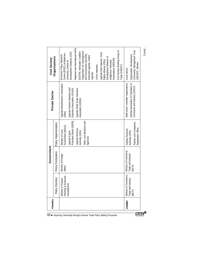| Civil Society Working Group on<br>Community Management Trust<br>Organisation for Development<br>SEATINI, Advocates Coalition<br>Development Initiatives (CDI)<br>Uganda Debt Network, Food<br>Centre (EPRC) at Makerere<br>and Environment (ACODE).<br>Economic Policy Research<br>Organisation Development<br>ActionAid Uganda, Oxfam<br>Development Network of<br>Associations (DENIVA)<br>Rights Alliance (FRA),<br>Indigenous Voluntary<br>University, Centre for<br>(ODCMT), Women<br>CSOs Networks<br>Trade (CSWGT)<br>Local NGOs<br>Uganda<br>Multi-sector Umbrella Organisations<br>Zambia Association of Chambers of<br>Uganda Manufacturers' Association<br>Commerce and Industry (ZACCI)<br>Uganda General Importers and<br>Uganda Small Scale Industries<br>Exporters Association (UGIEA)<br>Association (USSIA)<br>(UMA)<br>Promotion Board (UEPB)<br>Other Line Ministries and<br>Patents and Companies<br>Policy Implementation<br>Government (MOLG)<br>Registration Office<br><b>Uganda Revenue</b><br>Zambia Revenue<br>Ministry of Local<br>Authority (URA)<br>Uganda Export<br>Authority (ZRA)<br>Agencies<br>Ministry of Commerce,<br>Policy Formulation<br>Trade and Industry<br>Ministry of Foreign<br>(MCTI)<br><b>Affairs</b><br>Ministry of Commerce,<br>Trade and Industry<br>(MCTI)<br>Ministry of Finance,<br>Planning & Economic<br>Development<br>Policy Direction<br><b>AMBIA</b><br>18 ◆ Improving Ownership through Inclusive Trade Policy Making Processes |      | Country | Government | <b>Private Sector</b> | Civil Society                   |
|----------------------------------------------------------------------------------------------------------------------------------------------------------------------------------------------------------------------------------------------------------------------------------------------------------------------------------------------------------------------------------------------------------------------------------------------------------------------------------------------------------------------------------------------------------------------------------------------------------------------------------------------------------------------------------------------------------------------------------------------------------------------------------------------------------------------------------------------------------------------------------------------------------------------------------------------------------------------------------------------------------------------------------------------------------------------------------------------------------------------------------------------------------------------------------------------------------------------------------------------------------------------------------------------------------------------------------------------------------------------------------------------------------------------------------------------------------------------------------------------|------|---------|------------|-----------------------|---------------------------------|
|                                                                                                                                                                                                                                                                                                                                                                                                                                                                                                                                                                                                                                                                                                                                                                                                                                                                                                                                                                                                                                                                                                                                                                                                                                                                                                                                                                                                                                                                                              |      |         |            |                       | Organisations                   |
|                                                                                                                                                                                                                                                                                                                                                                                                                                                                                                                                                                                                                                                                                                                                                                                                                                                                                                                                                                                                                                                                                                                                                                                                                                                                                                                                                                                                                                                                                              |      |         |            |                       | Regional and International NGOs |
|                                                                                                                                                                                                                                                                                                                                                                                                                                                                                                                                                                                                                                                                                                                                                                                                                                                                                                                                                                                                                                                                                                                                                                                                                                                                                                                                                                                                                                                                                              | CUTS |         |            |                       |                                 |

*Contd...*

 $\overline{\text{CUTS}}^{\mathbb{N}}$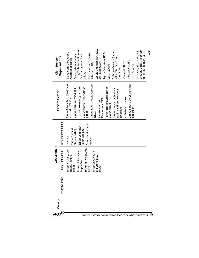|                              |                  | Government                                                                                                                                                                                            |                                                                                                                                 | <b>Private Sector</b>                                                                                                                                                                                                                                                                                                                                                                                                                                                                | Civil Society                                                                                                                                                                                                                                                                                                                                                                                                                                                                                                                                                         |
|------------------------------|------------------|-------------------------------------------------------------------------------------------------------------------------------------------------------------------------------------------------------|---------------------------------------------------------------------------------------------------------------------------------|--------------------------------------------------------------------------------------------------------------------------------------------------------------------------------------------------------------------------------------------------------------------------------------------------------------------------------------------------------------------------------------------------------------------------------------------------------------------------------------|-----------------------------------------------------------------------------------------------------------------------------------------------------------------------------------------------------------------------------------------------------------------------------------------------------------------------------------------------------------------------------------------------------------------------------------------------------------------------------------------------------------------------------------------------------------------------|
| $\frac{1}{\sqrt{2}}$ Country | Policy Direction | Policy Formulation                                                                                                                                                                                    | Policy Implementation                                                                                                           |                                                                                                                                                                                                                                                                                                                                                                                                                                                                                      | Organisations                                                                                                                                                                                                                                                                                                                                                                                                                                                                                                                                                         |
|                              |                  | Ministry of Foreign Affairs<br>Ministry of Finance and<br>Ministry of Justice and<br>Ministry of Agriculture<br>National Planning<br>and Cooperatives<br>Legal Affairs<br>(MoFNP)<br>(MOCA)<br>(MoFA) | Other Line Ministries &<br>Zambia Competition<br>Commission (ZCC)<br>Zambia Bureau of<br>Standards (ZBS)<br>(PACRO)<br>Agencies | Zambia Private Sector Development<br>Zambia Export Growers Association<br>Zambia Sugar, Clark Cotton, Swarp<br>Sectoral Umbrella Organisations<br>Zambia National Farmers Union<br>Textile Producers Association of<br>Zambia Chamber for Small and<br>Medium Business Associations<br>Zambia Business Forum (ZBF)<br>Zambian Association of<br>Individual Companies<br>Manufacturers (ZAM)<br>Association (ZPSDA)<br>Zambia (TPAZ)<br>Spinning Mill<br>(ZCSMBA)<br>(ZEGA)<br>(2NFU) | Lobby, Trade Justice Movement,<br>Catholic Commission for Justice<br>Trade Law Centre for Southern<br>Zambia (CSTNZ), Civil Society<br>Civil Society Trade Network of<br>for Poverty Reduction (CSPR)<br>Regional/International NGOs<br>Jesuit Centre for Theological<br>Entrepreneurs Development<br>Zambia Congress of Trade<br>Zambia National Women's<br>Africa (TRALAC), Oxfam,<br>Christian Aid<br>Association of Zambia<br>University of Zambia<br>Research Institutes<br>and Peace (CCJP)<br>Reflection (JCTR),<br>CUTS, SEATINI,<br>CSOs Networks<br>Unions, |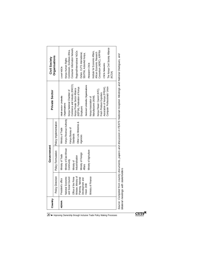| Country<br><b>KENYA</b> | Policy Direction<br>Minister, Ministry of<br>Ministry of Finance<br>National Economic<br>Office of the Prime<br>and Social Council<br>Planning, National<br>Development and<br>President's office<br>Vision 2030 | Government<br>Ministry of East African<br>Policy Formulation<br>Ministry of Agriculture<br>Ministry of Foreign<br>Ministry of Trade<br>Industrialisation<br>Community<br>Ministry of<br><b>Affairs</b> | Kenya Revenue Authority<br>Policy Implementation<br>Other Line Ministries &<br>Ministry of Trade<br>Kenya Bureau of<br><b>Standards</b><br>Agencies | Commerce and Industry (KNCCI),<br>Sectoral Umbrella Organisations<br>(KEPSA), Federation of Kenya<br>Kenya Private Sector Alliance<br>Kenya Flower Council (KFC),<br>Kenya National Chamber of<br><b>Private Sector</b><br>Fresh Produce Exporters<br>Manufacturers (KAM),<br>Multi-sector Umbrella<br>Kenya Association of<br>Organisations<br>Employers | Consumer Information Network,<br>Commission, EcoNews Africa,<br>Consortium (AERC), KIPPRA<br>Regional/International NGOs<br>Institute for Economic Affairs,<br>African Economic Research<br>Oxfam, CUTS International,<br>SEATINI, ActionAid Kenya,<br>Organisations<br>Civil Society<br>Kenya Human Rights<br>Research CSOs<br>Local NGOs |
|-------------------------|------------------------------------------------------------------------------------------------------------------------------------------------------------------------------------------------------------------|--------------------------------------------------------------------------------------------------------------------------------------------------------------------------------------------------------|-----------------------------------------------------------------------------------------------------------------------------------------------------|-----------------------------------------------------------------------------------------------------------------------------------------------------------------------------------------------------------------------------------------------------------------------------------------------------------------------------------------------------------|--------------------------------------------------------------------------------------------------------------------------------------------------------------------------------------------------------------------------------------------------------------------------------------------------------------------------------------------|
|                         |                                                                                                                                                                                                                  |                                                                                                                                                                                                        |                                                                                                                                                     | Computer Professionals' Union<br>Association of Kenya (FPEAK),                                                                                                                                                                                                                                                                                            | The Kenya Civil Society Alliance<br>CSOs Networks<br>(KCSA)                                                                                                                                                                                                                                                                                |

bilateral meetings with stakeholders

*bilateral meetings with stakeholders*

 $\mathbf{CUTS}^{\mathbf{N}}$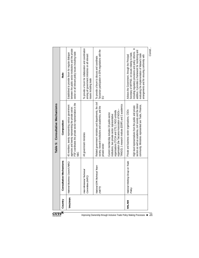|                         |          |                                                 | Table 5: Consultative Mechanisms                                                                                                                                                                                                                           |                                                                                                                                                                                                                                                                                                                          |  |
|-------------------------|----------|-------------------------------------------------|------------------------------------------------------------------------------------------------------------------------------------------------------------------------------------------------------------------------------------------------------------|--------------------------------------------------------------------------------------------------------------------------------------------------------------------------------------------------------------------------------------------------------------------------------------------------------------------------|--|
| $\overline{\mathbf{z}}$ | Country  | Consultative Mechanisms                         | Composition                                                                                                                                                                                                                                                | Role                                                                                                                                                                                                                                                                                                                     |  |
|                         | TANZANIA | National Business Council (NBC)                 | PSF coordinates the private sector representation in the<br>40 members, twenty representing various government<br>agencies and twenty representing the private sector.<br>Эgh                                                                              | between the public sector institutions and the private<br>sector on all relevant policy issues including trade<br>Established to provide forum for regular dialogue                                                                                                                                                      |  |
|                         |          | Inter-Ministerial Technical<br>Committee (IMTC) | All government ministries                                                                                                                                                                                                                                  | To provide a forum for collaboration and coordination<br>among all government ministries on all relevant<br>issues including trade                                                                                                                                                                                       |  |
|                         |          | National EPA Technical Team<br>(NETT)           | Related government ministries and departments, the civil<br>society, research institutions and academics, and the<br>private sector                                                                                                                        | Tanzanian participation in EPA negotiations with the<br>To provide a forum to discuss and coordinate<br>$\Xi$                                                                                                                                                                                                            |  |
|                         |          |                                                 | ANGO); 1 research institute (ESRF) and 2 academics<br>organisation (the Tanzania Association of NGOs -<br>organisations (TCCIA and CTI); 1 NGO umbrella<br>Current membership includes 18 public-sector<br>institutions, two private-sector representative |                                                                                                                                                                                                                                                                                                                          |  |
|                         | MALAWI   | National Working Group on Trade<br>Policy       | sectors as well as academia, civil society and the donor<br>community. Ministries represented are Trade, Finance,<br>High level representatives from the public and private<br>Private and business sector organisations, CSOs                             | including regulatory provisions and policy reforms. In<br>addition, it provides a framework for monitoring and<br>Secretary of MITPSD, on issues relating to trade,<br>evaluating the implementation of Malawi's trade<br>Advises the Government, through the Principal<br>arrangements and for ensuring conformity with |  |
|                         |          |                                                 |                                                                                                                                                                                                                                                            | Contd                                                                                                                                                                                                                                                                                                                    |  |

 $\text{CUTS}^{\mathbb{X}}$ 

Improving Ownership through Inclusive Trade Policy Making Processes  $\;\;\blacklozenge\; 21$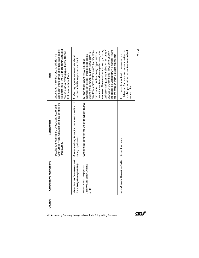| collaboration Platform where relevant ministries can<br>provide input as well as comment on issues related<br>and provide the Secretariat with a mandate to work<br>To promote inter-ministerial communication and<br>and the basis on which to engage stakeholders<br>to trade policy                                                                                                                                                                                                      | Relevant ministries                                                                                                                 | Inter-Ministerial Committees (IMCs)                                     | $\sum_{\text{Int}}$     |
|---------------------------------------------------------------------------------------------------------------------------------------------------------------------------------------------------------------------------------------------------------------------------------------------------------------------------------------------------------------------------------------------------------------------------------------------------------------------------------------------|-------------------------------------------------------------------------------------------------------------------------------------|-------------------------------------------------------------------------|-------------------------|
| businesses and government; allow for monitoring of<br>awareness of business climate issues by educating<br>bring forward cross-sectoral issues that they cannot<br>personal interaction and hearing other views; raise<br>progress on promised action linked to the strategy;<br>resolve alone; build trust through opportunities for<br>working groups to work by giving them a place to<br>businesses of all sizes; encourage sub-sectoral<br>To resolve cross-cutting issues that impact | Governmental, private sector and donor representatives                                                                              | National Action Group (NAG)/<br>Public-Private Sector Dialogue<br>(PPD) |                         |
| To effectively organise and coordinate Malawi<br>participation in EPA negotiations with the EU                                                                                                                                                                                                                                                                                                                                                                                              | Governmental negotiators, the private sector, and the civil<br>society organisations                                                | Malawi National Development and<br>Trade Policy Forum (MNDTPF)          |                         |
| cooperation among private and public sector parties<br>to promote trade. The Group also commissions and<br>reviews technical reports prepared by the National<br>agreed rules. It also facilitates consultation and<br>Task Force on Trade Policy                                                                                                                                                                                                                                           | Constitutional Affairs, Agriculture and Food Security, and<br>Development Planning and Cooperation, Justice and<br>Foreign Affairs. |                                                                         |                         |
| Role                                                                                                                                                                                                                                                                                                                                                                                                                                                                                        | Composition                                                                                                                         | Consultative Mechanisms                                                 | Country<br>22 $\bullet$ |

*Contd...*

 $\overline{\mathbf{CUTS}^{\mathbf{N}}}$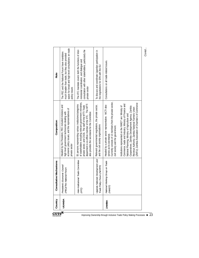| The PEC and the National Forum have mandates<br>much broader than trade, but they also provided<br>policy issues                                                              | ministerial coordination, and dialogue and<br>private sector                                                                                                                                                                                                                             | the negotiations for EPA with the EU                                                                           | Consultations on all trade-related issues.                                                                                                                                           |                                                                                                                                                                                                                                                                                                                               | Contd |
|-------------------------------------------------------------------------------------------------------------------------------------------------------------------------------|------------------------------------------------------------------------------------------------------------------------------------------------------------------------------------------------------------------------------------------------------------------------------------------|----------------------------------------------------------------------------------------------------------------|--------------------------------------------------------------------------------------------------------------------------------------------------------------------------------------|-------------------------------------------------------------------------------------------------------------------------------------------------------------------------------------------------------------------------------------------------------------------------------------------------------------------------------|-------|
| Headed by the President, PEC included ministers and<br>economic policy issues, and the representatives of<br>high level government technocrats dealing with<br>private sector | of stakeholders including relevant government ministries,<br>55 persons representing various institutions/categories<br>department is ex-officio member of the IITC. The MTT<br>private sector, and CSOs. The staff of the MTTI Trade<br>also provides the secretariat for the Committee | Relevant governmental negotiators, the private sector,<br>and the civil society organisations                  | Currently consists of 13 members from the private sector,<br>Headed by a private sector representative. MCTI also<br>civil society and the government.<br>serves as its secretariat. | (ZNFU); Zambia Association of Chambers of Commerce<br>Commerce, trade and Industry; Ministry of Finance and<br>Institutions represented on the NWGT are: Ministry of<br>Cooperatives; Zambia Development Agency; Zambia<br>Revenue Authority; Zambia National Farmers Union<br>National Planning; Ministry of Agriculture and |       |
| President's Economic Council<br>(PEC)/The National Forum                                                                                                                      | Inter-Institutional Trade Committee<br>(IITC)                                                                                                                                                                                                                                            | Uganda National Development and<br>Trade Policy Forum (NDTPF)                                                  | National Working Group on Trade<br>(NWGT)                                                                                                                                            |                                                                                                                                                                                                                                                                                                                               |       |
| <b>JGANDA</b>                                                                                                                                                                 |                                                                                                                                                                                                                                                                                          |                                                                                                                | <b>ZAMBIA</b>                                                                                                                                                                        |                                                                                                                                                                                                                                                                                                                               |       |
|                                                                                                                                                                               | space for broad and high level consultations on trade                                                                                                                                                                                                                                    | The IITC mandate covers both the functions of inter-<br>consultation with other stakeholders, particularly the | To discuss and coordinate Ugandan participation in                                                                                                                                   |                                                                                                                                                                                                                                                                                                                               |       |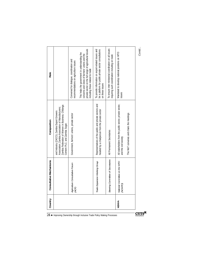| Country | Consultative Mechanisms                  | Composition                                                                                                                                                                           | Role                                                                                                                                                                                           |
|---------|------------------------------------------|---------------------------------------------------------------------------------------------------------------------------------------------------------------------------------------|------------------------------------------------------------------------------------------------------------------------------------------------------------------------------------------------|
|         |                                          | Zambia Federation of Women in Business; Chilanga<br>Association; Zambia Association of Manufacturers;<br>and Industry (ZACCI); Zambia Export Growers<br>Cement PLC; and Zambia Sugar. |                                                                                                                                                                                                |
|         | Agriculture Consultative Forum<br>(ACF)  | Government, farmers' unions, private sector                                                                                                                                           | Convened for dialogue, coordination and<br>recommendations on agriculture issues                                                                                                               |
|         |                                          |                                                                                                                                                                                       | private sector on the full range of agricultural issues<br>This helps the government in understanding the<br>concerns and views of farmers' unions and the<br>including those related to trade |
|         | Trade Expansion Working Group            | Representatives of the public and private sectors and<br>headed by a chairperson from the private sector                                                                              | To provide information on export-related issues and<br>be a platform for public-private sector consultations<br>on these issues                                                                |
|         | Steering Committee of Secretaries        | All Permanent Secretaries                                                                                                                                                             | To ensure inter-ministerial coordination on all issues<br>requiring such coordination including on trade                                                                                       |
| KENYA   | National Committee on the WTO<br>(NCWTO) | All stakeholders from the public sector, private sector,<br>and the civil society                                                                                                     | Mandated to develop national positions on WTO<br>issues                                                                                                                                        |
|         |                                          | The MoT convenes and chairs the meetings                                                                                                                                              |                                                                                                                                                                                                |
|         |                                          |                                                                                                                                                                                       |                                                                                                                                                                                                |

*Contd...*

 $\overline{\text{CUTS}}^{\mathbb{N}}$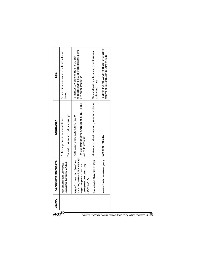| ${\rm \bf CUTS}^{\boxtimes}$ | Country | Consultative Mechanisms                                                                                          | Composition                                                                      | Role                                                                                                     |  |
|------------------------------|---------|------------------------------------------------------------------------------------------------------------------|----------------------------------------------------------------------------------|----------------------------------------------------------------------------------------------------------|--|
|                              |         | Joint Industrial and Commercial                                                                                  | Public and private sector representatives                                        | To be a consultative forum on trade and industrial                                                       |  |
|                              |         | Consultative Committee (JICCC)                                                                                   | The MoT convenes and chairs the meetings                                         | issues                                                                                                   |  |
|                              |         |                                                                                                                  | Kenya-European Union Post-Lome   Public sector, private sector and civil society | To facilitate Kenyan preparations for the EPA                                                            |  |
|                              |         | Trade Negotiations (KELPOTRADE)<br>Development and Trade Policy<br>Support Programme / National<br>Forum (NDTPF) | The MoT coordinates the functioning of the NDTPF and<br>acts as its secretariat  | negotiations with the EU as well as disseminate the<br>EPA-related information                           |  |
|                              |         | Cabinet's Sub-Committee on Trade                                                                                 | Ministers responsible for relevant government ministries                         | Ministerial level consultations and coordination on<br>rade-related issues                               |  |
|                              |         | nter-Ministerial Committees (IMCs)                                                                               | Government ministries                                                            | To ensure inter-ministerial coordination on all issues<br>requiring such coordination including on trade |  |
|                              |         |                                                                                                                  |                                                                                  |                                                                                                          |  |

Improving Ownership through Inclusive Trade Policy Making Processes  $\blacklozenge$  25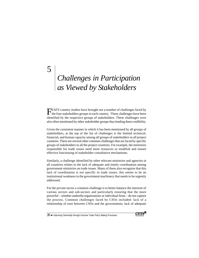# *Challenges in Participation as Viewed by Stakeholders*

FEATS country studies have brought out a number of challenges faced by the four stakeholders groups in each country. These challenges have been identified by the respective groups of stakeholders. These challenges were also often mentioned by other stakeholder groups thus lending them credibility.

Given the consistent manner in which it has been mentioned by all groups of stakeholders, at the top of the list of challenges is the limited technical, financial, and human capacity among all groups of stakeholders in all project countries. There are several other common challenges that are faced by specific groups of stakeholders in all the project countries. For example, the ministries responsible for trade issues need more resources to establish and ensure effective functioning of stakeholder consultative mechanisms.

Similarly, a challenge identified by other relevant ministries and agencies in all countries relates to the lack of adequate and timely coordination among government ministries on trade issues. Many of them also recognise that this lack of coordination is not specific to trade issues: this seems to be an institutional weakness in the government machinery that needs to be urgently addressed.

For the private sector a common challenge is to better balance the interests of various sectors and sub-sectors and particularly ensuring that the more powerful – whether umbrella organisations or individual firms – do not capture the process. Common challenges faced by CSOs included: lack of a relationship of trust between CSOs and the governments; lack of adequate

 $26 \blacktriangle$  Improving Ownership through Inclusive Trade Policy Making Processes

5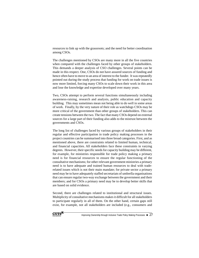resources to link up with the grassroots; and the need for better coordination among CSOs.

The challenges mentioned by CSOs are many more in all the five countries when compared with the challenges faced by other groups of stakeholders. This demands a deeper analysis of CSO challenges. Several points can be made in this respect. One, CSOs do not have assured sources of funding and hence often have to move to an area of interest to the funder. It was repeatedly pointed out during the study process that funding for work on trade issues is now more limited, forcing many CSOs to scale down their work in this area and lose the knowledge and expertise developed over many years.

Two, CSOs attempt to perform several functions simultaneously including awareness-raising, research and analysis, public education and capacity building. This may sometimes mean not being able to do well in some areas of work. Finally, by the very nature of their role as watchdogs CSOs may be more critical of the government than other groups of stakeholders. This can create tensions between the two. The fact that many CSOs depend on external sources for a large part of their funding also adds to the mistrust between the governments and CSOs.

The long list of challenges faced by various groups of stakeholders in their regular and effective participation in trade policy making processes in the project countries can be summarised into three broad categories. First, and as mentioned above, there are constraints related to limited human, technical, and financial capacities. All stakeholders face these constraints in varying degrees. However, their specific needs for capacity building may be different, for example, for ministries responsible for trade policy making a primary need is for financial resources to ensure the regular functioning of the consultative mechanisms; for other relevant government ministries a primary need is to have adequate and trained human resources to deal with traderelated issues which is not their main mandate; for private sector a primary need may be to have adequately staffed secretariats of umbrella organisations that can ensure regular two-way exchange between the government and their members; and for CSOs a primary need may be to develop better skills that are based on solid evidence.

Second, there are challenges related to institutional and structural issues. Multiplicity of consultative mechanisms makes it difficult for all stakeholders to participate regularly in all of them. On the other hand, certain gaps still exist, for example, not all stakeholders are included (e.g., consumers and

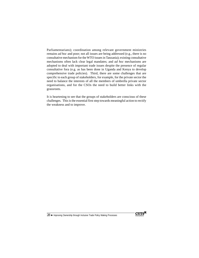Parliamentarians); coordination among relevant government ministries remains *ad hoc* and poor; not all issues are being addressed (e.g., there is no consultative mechanism for the WTO issues in Tanzania); existing consultative mechanisms often lack clear legal mandates; and *ad hoc* mechanisms are adopted to deal with important trade issues despite the presence of regular consultative fora (e.g. as has been done in Uganda and Kenya to develop comprehensive trade policies). Third, there are some challenges that are specific to each group of stakeholders, for example, for the private sector the need to balance the interests of all the members of umbrella private sector organisations, and for the CSOs the need to build better links with the grassroots.

It is heartening to see that the groups of stakeholders are conscious of these challenges. This is the essential first step towards meaningful action to rectify the weakness and to improve.

28 ♦ Improving Ownership through Inclusive Trade Policy Making Processes

 $CUTS^{\mathbb{N}}$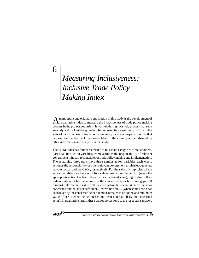# *Measuring Inclusiveness: Inclusive Trade Policy Making Index*

 $\Lambda$ <sup>a</sup> important and original contribution of this study is the development of qualitative index to measure the inclusiveness of trade policy making process in the project countries. It was felt during the study process that such an analytical tool will be quite helpful in presenting a summary picture of the state of inclusiveness of trade policy making process in project countries that is based on the feedback by stakeholders in the country and confirmed by other information and analysis in the study.

The ITPM Index has four parts related to four main categories of stakeholders. Part I has five action variables where action is the responsibility of relevant government ministry responsible for trade policy making and implementation. The remaining three parts have three similar action variables each where action is the responsibility of other relevant government ministries/agencies, private sector, and the CSOs, respectively. For the sake of simplicity, all the action variables can have only five values: maximum value of 1 (when the appropriate action has been taken by the concerned actor), high value of 0.75 (when quite a lot has been done by the concerned actor but some gaps still remain), intermediate value of 0.5 (when action has been taken by the actor concerned but that is not sufficient), low value of 0.25 (when some action has been taken by the concerned actor but much remains to be done), and minimum value of zero (when the action has not been taken at all by the concerned actor). In qualitative terms, these values correspond to the respective answers



6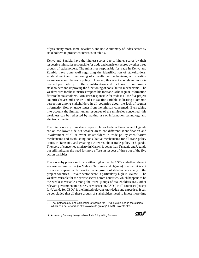of yes, many/most, some, few/little, and no<sup>3</sup>. A summary of Index scores by stakeholders in project countries is in table 6.

Kenya and Zambia have the highest scores due to higher scores by their respective ministries responsible for trade and consistent scores by other three groups of stakeholders. The ministries responsible for trade in Kenya and Zambia have done well regarding the identification of stakeholders, establishment and functioning of consultative mechanisms, and creating awareness about the trade policy. However, this is not enough and more is needed particularly for the identification and inclusion of remaining stakeholders and improving the functioning of consultative mechanisms. The weakest area for the ministries responsible for trade is the regular information flow to the stakeholders. Ministries responsible for trade in all the five project countries have similar scores under this action variable, indicating a common perception among stakeholders in all countries about the lack of regular information flow on trade issues from the ministry concerned. Even taking into account the limited human resources of the ministries concerned, this weakness can be redressed by making use of information technology and electronic media.

The total scores by ministries responsible for trade in Tanzania and Uganda are on the lower side but weaker areas are different: identification and involvement of all relevant stakeholders in trade policy consultative mechanisms and establishing consultative mechanisms for all trade policy issues in Tanzania, and creating awareness about trade policy in Uganda. The score of concerned ministry in Malawi is better than Tanzania and Uganda but still indicates the need for more efforts in respect of three out of the five action variables.

The scores by private sector are either higher than by CSOs and other relevant government ministries (in Malawi, Tanzania and Uganda) or equal: it is not lower as compared with these two other groups of stakeholders in any of the project countries. Private sector score is particularly high in Malawi. The weakest variable for the private sector across countries, which happens to be the weakest variable among the three groups of stakeholders (i.e., other relevant government ministries, private sector, CSOs) in all countries (except for Uganda for CSOs) is the limited relevant knowledge and expertise. It can be concluded that all these groups of stakeholders need to invest more time



<sup>3</sup> The methodology and calculation of scores for ITPM is explained in the studies which can be viewed at http://www.cuts-grc.org/FEATS-Projects.htm.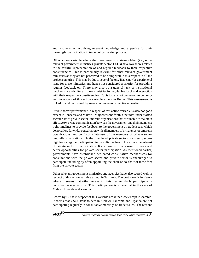and resources on acquiring relevant knowledge and expertise for their meaningful participation in trade policy making process.

Other action variable where the three groups of stakeholders (i.e., other relevant government ministries, private sector, CSOs) have low scores relates to the faithful representation of and regular feedback to their respective constituencies. This is particularly relevant for other relevant government ministries as they are not perceived to be doing well in this respect in all the project countries. This may be due to several factors. Trade may be a peripheral issue for these ministries and hence not considered a priority for providing regular feedback on. There may also be a general lack of institutional mechanisms and culture in these ministries for regular feedback and interaction with their respective constituencies. CSOs too are not perceived to be doing well in respect of this action variable except in Kenya. This assessment is linked to and confirmed by several observations mentioned earlier.

Private sector performance in respect of this action variable is also not good except in Tanzania and Malawi. Major reasons for this include: under-staffed secretariats of private sector umbrella organisations that are unable to maintain effective two-way communication between the government and their members; tight timelines to provide feedback to the government on trade issues which do not allow for wider consultation with all members of private sector umbrella organisations; and conflicting interests of the members of private sector umbrella organisations. On the other hand, private sector consistently scores high for its regular participation in consultative fora. This shows the interest of private sector in participation. It also seems to be a result of more and better opportunities for private sector participation. As mentioned earlier, governments have established dedicated consultative mechanisms for consultations with the private sector and private sector is encouraged to participate including by often appointing the chair or co-chair of these fora from the private sector.

Other relevant government ministries and agencies have also scored well in respect of this action variable except in Tanzania. The best score is in Kenya where it seems that other relevant ministries regularly participate in consultative mechanisms. This participation is substantial in the case of Malawi, Uganda and Zambia.

Scores by CSOs in respect of this variable are rather low except in Zambia. It seems that CSOs stakeholders in Malawi, Tanzania and Uganda are not participating regularly in consultative meetings on trade issues. The reasons

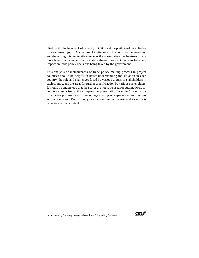cited for this include: lack of capacity of CSOs and the plethora of consultative fora and meetings; *ad hoc* nature of invitations to the consultative meetings; and dwindling interest in attendance as the consultative mechanisms do not have legal mandates and participation therein does not seem to have any impact on trade policy decisions being taken by the government.

This analysis of inclusiveness of trade policy making process in project countries should be helpful in better understanding the situation in each country, the role and challenges faced by various groups of stakeholders in each country, and the areas for further specific action by various stakeholders. It should be understood that the scores are not to be used for automatic crosscountry comparisons: the comparative presentation in table 6 is only for illustrative purposes and to encourage sharing of experiences and lessons across countries. Each country has its own unique context and its score is reflective of that context.

32 ◆ Improving Ownership through Inclusive Trade Policy Making Processes

 $CUTS^{\mathbb{N}}$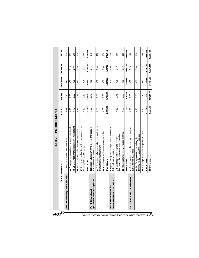| $\mathbf{CUTS}^\mathbf{\mathbb{M}}$                                 |                                                                 | Table 6: ITPM Index Scores                                                                  |           |            |            |               |               |
|---------------------------------------------------------------------|-----------------------------------------------------------------|---------------------------------------------------------------------------------------------|-----------|------------|------------|---------------|---------------|
|                                                                     |                                                                 | <b>TPM Action Variable</b>                                                                  | KENYA     | MALAWI     | TANZANIA   | <b>UGANDA</b> | <b>ZAMBIA</b> |
|                                                                     | Part I. Ministry responsible for Trade                          | A. Identification of all key stakeholders                                                   | 0.75      | 0.50       | 0.50       | 0.75          | 0.75          |
|                                                                     |                                                                 | <b>B.</b> Creating awareness about the need for trade policy                                | 0.75      | 0.50       | 0.50       | 0.25          | 0.75          |
|                                                                     |                                                                 | C. Establishment of formal consultative mechanisms                                          | 0.75      | 1.00       | 0.75       | 00.1          | 1.00          |
|                                                                     |                                                                 | D. Functioning of formal consultative mechanisms                                            | 0.75      | 0.75       | 0.50       | 0.50          | 0.75          |
|                                                                     |                                                                 | E. Regular information flow to the stakeholders including<br>on the content of trade policy | 0.50      | 0.50       | 0.25       | 0.25          | 0.50          |
|                                                                     |                                                                 | Part I Score                                                                                | 3.50/5.00 | 3.25/5.00  | 2.50/5.0   | 2.75/5.00     | 3.75/5.00     |
| Improving Ownership through Inclusive Trade Policy Making Processes | government ministries/agencies<br>Part II. Other relevant       | F. Regular participation in the process and feedback<br>to the relevant authorities         | 1.00      | 0.75       | 0.50       | 0.75          | 0.75          |
|                                                                     |                                                                 | G. Faithful representation of and regular feedback to<br>the represented constituencies     | 0.50      | 0.50       | 0.50       | 0.50          | 0.50          |
|                                                                     |                                                                 | H. Acquiring relevant knowledge and expertise                                               | 0.50      | 0.50       | 0.50       | 0.50          | 0.50          |
|                                                                     |                                                                 | Part II Score                                                                               | 2.00/3.00 | 1.75/3.00  | .50/3.00   | 1.75/3.0      | 1.75/3.00     |
|                                                                     | business umbrella organisations<br>Part III. Private sector and | . Regular participation in the process and feedback<br>to the relevant authorities          | 1.00      | 1.00       | 0.75       | 00.1          | 1.00          |
|                                                                     |                                                                 | feedback to the represented constituencies<br>J. Faithful representation of and regular     | 0.50      | 0.75       | 0.75       | 0.50          | 0.50          |
|                                                                     |                                                                 | K. Acquiring relevant knowledge and expertise                                               | 0.50      | 0.50       | 0.50       | 0.50          | 0.50          |
|                                                                     |                                                                 | Part III Score                                                                              | 2.00/3.00 | 2.25/3.0   | 2.00/3.00  | 2.00/3.00     | 2.00/3.00     |
|                                                                     | Part IV. Civil society organisations                            | L. Regular participation in the process and feedback<br>to the relevant authorities         | 0.75      | 0.25       | 0.50       | 0.25          | 1.00          |
|                                                                     |                                                                 | feedback to the represented constituencies<br>M. Faithful representation of and regular     | 0.75      | 0.50       | 0.50       | 0.50          | 0.50          |
|                                                                     |                                                                 | N. Acquiring relevant knowledge and expertise                                               | 0.50      | 0.50       | 0.50       | 0.75          | 0.50          |
|                                                                     |                                                                 | Part IV Score                                                                               | 2.00/3.00 | 1.25/3.00  | 1.50/3.00  | 1.75/3.00     | 2.00/3.00     |
| 33                                                                  |                                                                 | <b>ITPM Index Score</b>                                                                     | 9.50/14.0 | 8.50/14.00 | 7.50/14.00 | 8.25/14.00    | 9.50/14.00    |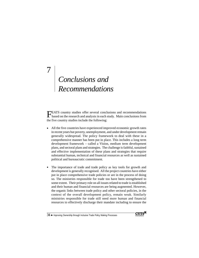# *Conclusions and Recommendations*

7

FEATS country studies offer several conclusions and recommendations based on the research and analysis in each study. Main conclusions from the five country studies include the following:

- All the five countries have experienced improved economic growth rates in recent years but poverty, unemployment, and under development remain generally widespread. The policy framework to deal with these in a comprehensive manner has been put in place. This includes a long term development framework – called a Vision, medium term development plans, and sectoral plans and strategies. The challenge is faithful, sustained and effective implementation of these plans and strategies that require substantial human, technical and financial resources as well as sustained political and bureaucratic commitment.
- The importance of trade and trade policy as key tools for growth and development is generally recognised. All the project countries have either put in place comprehensive trade policies or are in the process of doing so. The ministries responsible for trade too have been strengthened to some extent. Their primary role on all issues related to trade is established and their human and financial resources are being augmented. However, the organic links between trade policy and other sectoral policies, in the context of the overall development policy, remain weak. Similarly ministries responsible for trade still need more human and financial resources to effectively discharge their mandate including to ensure the

 $34\blacktriangleleft$  Improving Ownership through Inclusive Trade Policy Making Processes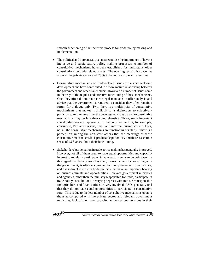smooth functioning of an inclusive process for trade policy making and implementation.

- The political and bureaucratic set ups recognise the importance of having inclusive and participatory policy making processes. A number of consultative mechanisms have been established for multi-stakeholder consultations on trade-related issues. The opening up of this space has allowed the private sector and CSOs to be more visible and assertive.
- Consultative mechanisms on trade-related issues are a very welcome development and have contributed to a more mature relationship between the government and other stakeholders. However, a number of issues come in the way of the regular and effective functioning of these mechanisms. One, they often do not have clear legal mandates to offer analysis and advice that the government is required to consider: they often remain a forum for dialogue only. Two, there is a multiplicity of consultative mechanisms that makes it difficult for stakeholders to effectively participate. At the same time, the coverage of issues by some consultative mechanisms may be less than comprehensive. Three, some important stakeholders are not represented in the consultative fora, for example, consumers, Parliamentarians, small and informal businesses, etc. Four, not all the consultative mechanisms are functioning regularly. There is a perception among the non-state actors that the meetings of these consultative mechanisms lack predictable periodicity and there is a certain sense of *ad hocism* about their functioning.
- Stakeholders' participation in trade policy making has generally improved. However, not all of them seem to have equal opportunities and capacity/ interest to regularly participate. Private sector seems to be doing well in this regard mainly because it has many more channels for consulting with the government, is often encouraged by the government to participate, and has a direct interest in trade policies that have an important bearing on business climate and opportunities. Relevant government ministries and agencies, other than the ministry responsible for trade, participate in trade policy consultations in varying degrees with ministries responsible for agriculture and finance often actively involved. CSOs generally feel that they do not have equal opportunities to participate in consultative fora. This is due to the less number of consultative mechanisms open to them as compared with the private sector and relevant government ministries, lack of their own capacity, and occasional tensions in their

CUTS<sup>E</sup>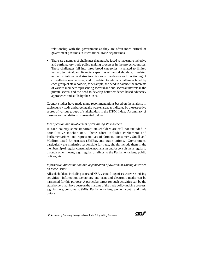relationship with the government as they are often more critical of government positions in international trade negotiations.

• There are a number of challenges that must be faced to have more inclusive and participatory trade policy making processes in the project countries. These challenges fall into three broad categories: i) related to limited human, technical, and financial capacities of the stakeholders; ii) related to the institutional and structural issues of the design and functioning of consultative mechanisms; and iii) related to internal challenges faced by each group of stakeholders, for example, the need to balance the interests of various members representing sectoral and sub-sectoral interests in the private sector, and the need to develop better evidence-based advocacy approaches and skills by the CSOs.

Country studies have made many recommendations based on the analysis in each country study and targeting the weaker areas as indicated by the respective scores of various groups of stakeholders in the ITPM Index. A summary of these recommendations is presented below.

#### *Identification and involvement of remaining stakeholders*

In each country some important stakeholders are still not included in consultative mechanisms. These often include: Parliament and Parliamentarians, and representatives of farmers, consumers, Small and Medium-sized Enterprises (SMEs), and trade unions. Government, particularly the ministries responsible for trade, should include them in the membership of regular consultative mechanisms and/or consult them regularly through other means, e.g., regular briefings to the Parliamentarians, public notices, etc.

#### *Information dissemination and organisation of awareness-raising activities on trade issues*

All stakeholders, including state and NSAs, should organise awareness-raising activities. Information technology and print and electronic media can be harnessed for this purpose. A particular target for such activities can be the stakeholders that have been on the margins of the trade policy making process, e.g., farmers, consumers, SMEs, Parliamentarians, women, youth, and trade unions.

 $36 \blacktriangleleft$  Improving Ownership through Inclusive Trade Policy Making Processes

**CUTS**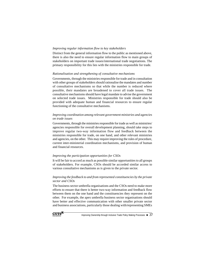#### *Improving regular information flow to key stakeholders*

Distinct from the general information flow to the public as mentioned above, there is also the need to ensure regular information flow to main groups of stakeholders on important trade issues/international trade negotiations. The primary responsibility for this lies with the ministries responsible for trade.

#### *Rationalisation and strengthening of consultative mechanisms*

Governments, through the ministries responsible for trade and in consultation with other groups of stakeholders should rationalise the mandates and number of consultative mechanisms so that while the number is reduced where possible, their mandates are broadened to cover all trade issues. The consultative mechanisms should have legal mandate to advise the government on selected trade issues. Ministries responsible for trade should also be provided with adequate human and financial resources to ensure regular functioning of the consultative mechanisms.

#### *Improving coordination among relevant government ministries and agencies on trade issues*

Governments, through the ministries responsible for trade as well as ministries/ agencies responsible for overall development planning, should take steps to improve regular two-way information flow and feedback between the ministries responsible for trade, on one hand, and other relevant ministries and agencies, on the other. This may require improving the rules of procedure, current inter-ministerial coordination mechanisms, and provision of human and financial resources.

#### *Improving the participation opportunities for CSOs*

It will be fair to accord as much as possible similar opportunities to all groups of stakeholders. For example, CSOs should be accorded similar access to various consultative mechanisms as is given to the private sector.

#### *Improving the feedback to and from represented constituencies by the private sector and CSOs*

The business sector umbrella organisations and the CSOs need to make more efforts to ensure that there is better two-way information and feedback flow between them on the one hand and the constituencies they represent on the other. For example, the apex umbrella business sector organisations should have better and effective communication with other smaller private sector and business associations, particularly those dealing with/representing SMEs

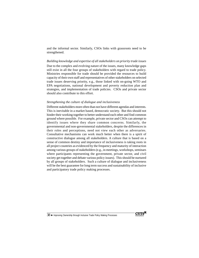and the informal sector. Similarly, CSOs links with grassroots need to be strengthened.

#### *Building knowledge and expertise of all stakeholders on priority trade issues*

Due to the complex and evolving nature of the issues, many knowledge gaps still exist in all the four groups of stakeholders with regard to trade policy. Ministries responsible for trade should be provided the resources to build capacity of their own staff and representatives of other stakeholders on selected trade issues deserving priority, e.g., those linked with on-going WTO and EPA negotiations, national development and poverty reduction plan and strategies, and implementation of trade policies. CSOs and private sector should also contribute to this effort.

#### *Strengthening the culture of dialogue and inclusiveness*

Different stakeholders more often than not have different agendas and interests. This is inevitable in a market based, democratic society. But this should not hinder their working together to better understand each other and find common ground where possible. For example, private sector and CSOs can attempt to identify issues where they share common concerns. Similarly, the governmental and non-governmental stakeholders, despite the differences in their roles and perceptions, need not view each other as adversaries. Consultative mechanisms can work much better when there is a spirit of constructive dialogue among all stakeholders. A culture that is based on a sense of common destiny and importance of inclusiveness is taking roots in all project countries as evidenced by the frequency and maturity of interaction among various groups of stakeholders (e.g., in meetings, workshops, seminars where participants representing the government, private sector, and civil society get together and debate various policy issues). This should be nurtured by all groups of stakeholders. Such a culture of dialogue and inclusiveness will be the best guarantee for long term success and sustainability of inclusive and participatory trade policy making processes.

38 ♦ Improving Ownership through Inclusive Trade Policy Making Processes

**CUTS**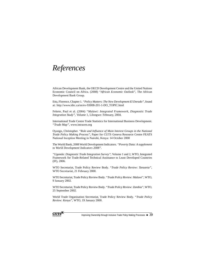## *References*

African Development Bank, the OECD Development Centre and the United Nations Economic Council on Africa. (2008) *"African Economic Outlook"*, The African Development Bank Group.

Etta, Florence, Chapter 1. *"Policy Matters: The New Development El Dorado",* found at: http://www.idrc.ca/en/ev-93008-201-1-DO\_TOPIC.html

Fekete, Paul et al. (2004) *"Malawi: Integrated Framework, Diagnostic Trade Integration Study",* Volume 1, Lilongwe: February, 2004.

International Trade Centre Trade Statistics for International Business Development. *"Trade Map"*, www.intracen.org

Oyango, Christopher. *"Role and Influence of Main Interest Groups in the National Trade Policy Making Process",* Paper for CUTS Geneva Resource Centre FEATS National Inception Meeting in Nairobi, Kenya: 14 October 2000

The World Bank, 2008 World Development Indicators. *"Poverty Data: A supplement to World Development Indicators 2008"*.

*"Uganda: Diagnostic Trade Integration Survey"*, Volume 1 and 2, WTO, Integrated Framework for Trade-Related Technical Assistance to Least Developed Countries (IF), 2006.

WTO Secretariat, Trade Policy Review Body. *"Trade Policy Review: Tanzania"*, WTO Secretariat, 21 February 2000.

WTO Secretariat, Trade Policy Review Body. *"Trade Policy Review: Malawi"*, WTO, 9 January 2002.

WTO Secretariat, Trade Policy Review Body. *"Trade Policy Review: Zambia"*, WTO, 25 September 2002.

World Trade Organisation Secretariat, Trade Policy Review Body. *"Trade Policy Review: Kenya",* WTO, 19 January 2000.



Improving Ownership through Inclusive Trade Policy Making Processes  $\blacklozenge 39$